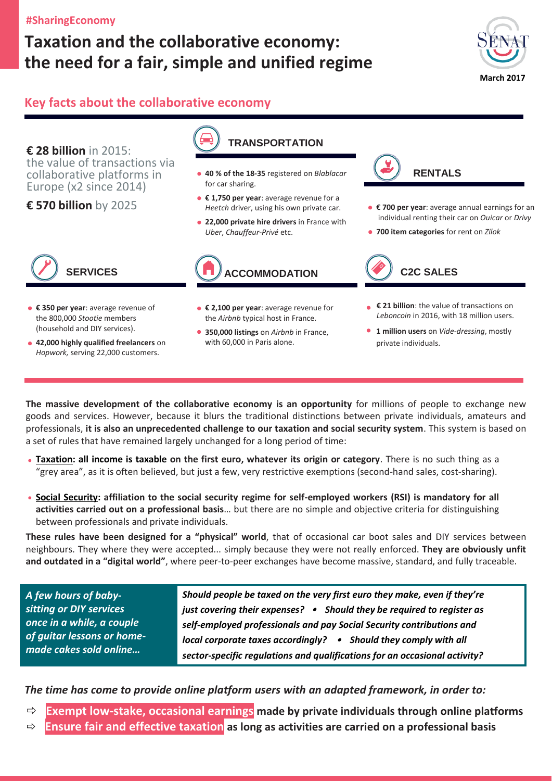## **#SharingEconomy**

# **Taxation and the collaborative economy: the need for a fair, simple and unified regime**



## **Key facts about the collaborative economy**

**€ 28 billion** in 2015: the value of transactions via collaborative platforms in Europe (x2 since 2014)

**€ 570 billion** by 2025



- **40 % of the 18-35** registered on *Blablacar* for car sharing.
- **€ 1,750 per year**: average revenue for a *Heetch* driver, using his own private car.
- **22,000 private hire drivers** in France with *Uber*, *Chauffeur-Privé* etc.



- **€ 350 per year**: average revenue of the 800,000 *Stootie* members (household and DIY services).
- **42,000 highly qualified freelancers** on *Hopwork,* serving 22,000 customers.
- **€ 2,100 per year**: average revenue for
- the *Airbnb* typical host in France.
- **350,000 listings** on *Airbnb* in France, with 60,000 in Paris alone.



- **€ 700 per year**: average annual earnings for an individual renting their car on *Ouicar* or *Drivy*
- **700 item categories** for rent on *Zilok*



- **€ 21 billion**: the value of transactions on *Leboncoin* in 2016, with 18 million users.
- **1 million users** on *Vide-dressing*, mostly private individuals.

**The massive development of the collaborative economy is an opportunity** for millions of people to exchange new goods and services. However, because it blurs the traditional distinctions between private individuals, amateurs and professionals, **it is also an unprecedented challenge to our taxation and social security system**. This system is based on a set of rules that have remained largely unchanged for a long period of time:

- **Taxation: all income is taxable on the first euro, whatever its origin or category**. There is no such thing as a "grey area", as it is often believed, but just a few, very restrictive exemptions (second-hand sales, cost-sharing).
- **Social Security: affiliation to the social security regime for self-employed workers (RSI) is mandatory for all activities carried out on a professional basis**… but there are no simple and objective criteria for distinguishing between professionals and private individuals.

**These rules have been designed for a "physical" world**, that of occasional car boot sales and DIY services between neighbours. They where they were accepted... simply because they were not really enforced. **They are obviously unfit and outdated in a "digital world"**, where peer-to-peer exchanges have become massive, standard, and fully traceable.

*A few hours of babysitting or DIY services once in a while, a couple of guitar lessons or homemade cakes sold online…*

*Should people be taxed on the very first euro they make, even if they're just covering their expenses? Should they be required to register as self-employed professionals and pay Social Security contributions and local corporate taxes accordingly? • Should they comply with all sector-specific regulations and qualifications for an occasional activity?*

*The time has come to provide online platform users with an adapted framework, in order to:*

- **Exempt low-stake, occasional earnings made by private individuals through online platforms**
- **Ensure fair and effective taxation as long as activities are carried on a professional basis**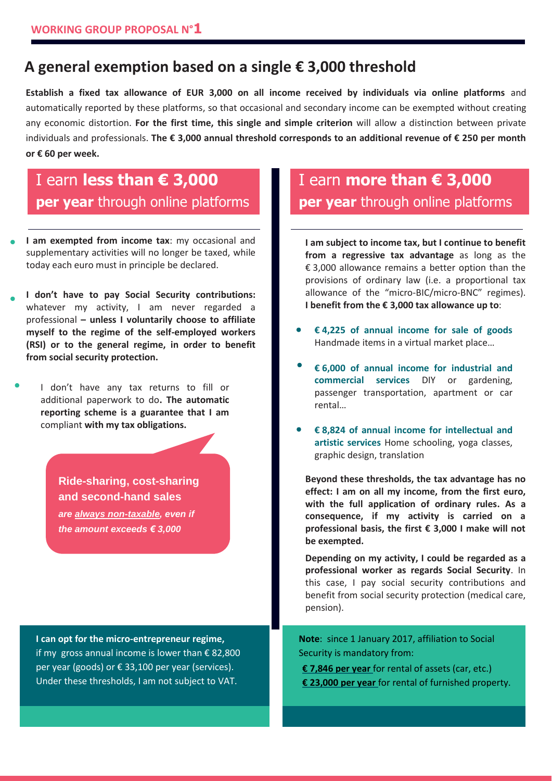# **A general exemption based on a single € 3,000 threshold**

**Establish a fixed tax allowance of EUR 3,000 on all income received by individuals via online platforms** and automatically reported by these platforms, so that occasional and secondary income can be exempted without creating any economic distortion. **For the first time, this single and simple criterion** will allow a distinction between private individuals and professionals. **The € 3,000 annual threshold corresponds to an additional revenue of € 250 per month or € 60 per week.**

# I earn **less than € 3,000 per year** through online platforms

**I am exempted from income tax**: my occasional and supplementary activities will no longer be taxed, while today each euro must in principle be declared.

through online platforms

- **I don't have to pay Social Security contributions:** whatever my activity, I am never regarded a professional **– unless I voluntarily choose to affiliate myself to the regime of the self-employed workers (RSI) or to the general regime, in order to benefit from social security protection.**
- I don't have any tax returns to fill or additional paperwork to do**. The automatic reporting scheme is a guarantee that I am**  compliant **with my tax obligations.**

**Ride-sharing, cost-sharing and second-hand sales** *are always non-taxable, even if the amount exceeds € 3,000*

**I can opt for the micro-entrepreneur regime,** if my gross annual income is lower than €82,800 per year (goods) or € 33,100 per year (services). Under these thresholds, I am not subject to VAT.

# I earn **more than € 3,000 per year** through online platforms

**I am subject to income tax, but I continue to benefit from a regressive tax advantage** as long as the  $\epsilon$  3,000 allowance remains a better option than the provisions of ordinary law (i.e. a proportional tax allowance of the "micro-BIC/micro-BNC" regimes). **I benefit from the € 3,000 tax allowance up to**:

- **€ 4,225 of annual income for sale of goods**  Handmade items in a virtual market place…
- **€ 6,000 of annual income for industrial and commercial services** DIY or gardening, passenger transportation, apartment or car rental…
- **€ 8,824 of annual income for intellectual and artistic services** Home schooling, yoga classes, graphic design, translation

**Beyond these thresholds, the tax advantage has no effect: I am on all my income, from the first euro, with the full application of ordinary rules. As a consequence, if my activity is carried on a professional basis, the first € 3,000 I make will not be exempted.**

**Depending on my activity, I could be regarded as a professional worker as regards Social Security**. In this case, I pay social security contributions and benefit from social security protection (medical care, pension).

**Note**: since 1 January 2017, affiliation to Social Security is mandatory from:

**€ 7,846 per year** for rental of assets (car, etc.) **€ 23,000 per year** for rental of furnished property.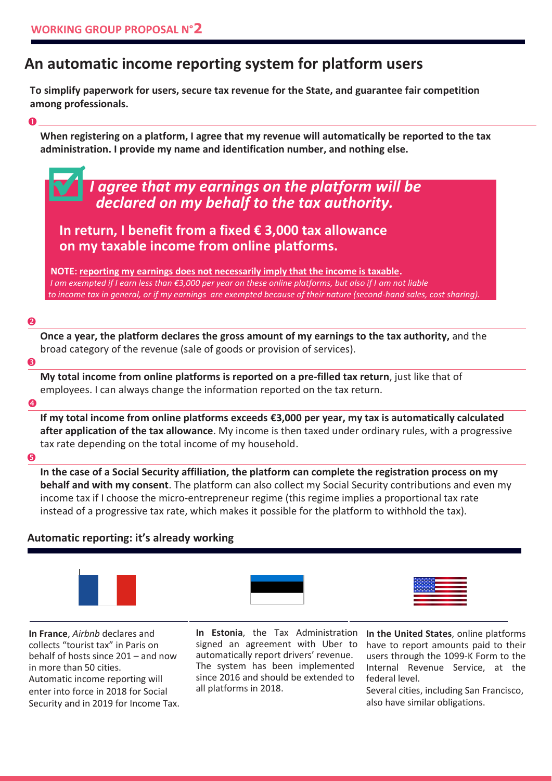# **An automatic income reporting system for platform users**

**To simplify paperwork for users, secure tax revenue for the State, and guarantee fair competition among professionals.**

### $\bullet$

**When registering on a platform, I agree that my revenue will automatically be reported to the tax administration. I provide my name and identification number, and nothing else.**

# *I agree that my earnings on the platform will be declared on my behalf to the tax authority.*

## **In return, I benefit from a fixed € 3,000 tax allowance on my taxable income from online platforms.**

 **NOTE: reporting my earnings does not necessarily imply that the income is taxable.** *I am exempted if I earn less than €3,000 per year on these online platforms, but also if I am not liable to income tax in general, or if my earnings are exempted because of their nature (second-hand sales, cost sharing).*

#### 2

**Once a year, the platform declares the gross amount of my earnings to the tax authority,** and the broad category of the revenue (sale of goods or provision of services).

#### €

**My total income from online platforms is reported on a pre-filled tax return**, just like that of employees. I can always change the information reported on the tax return.

#### $\boldsymbol{A}$

**If my total income from online platforms exceeds €3,000 per year, my tax is automatically calculated after application of the tax allowance**. My income is then taxed under ordinary rules, with a progressive tax rate depending on the total income of my household.

#### $\bullet$

**In the case of a Social Security affiliation, the platform can complete the registration process on my behalf and with my consent**. The platform can also collect my Social Security contributions and even my income tax if I choose the micro-entrepreneur regime (this regime implies a proportional tax rate instead of a progressive tax rate, which makes it possible for the platform to withhold the tax).

### **Automatic reporting: it's already working**







**In France**, *Airbnb* declares and collects "tourist tax" in Paris on behalf of hosts since 201 – and now in more than 50 cities. Automatic income reporting will enter into force in 2018 for Social Security and in 2019 for Income Tax.

**In Estonia**, the Tax Administration **In the United States**, online platforms signed an agreement with Uber to automatically report drivers' revenue. The system has been implemented since 2016 and should be extended to all platforms in 2018.

have to report amounts paid to their users through the 1099-K Form to the Internal Revenue Service, at the federal level.

Several cities, including San Francisco, also have similar obligations.